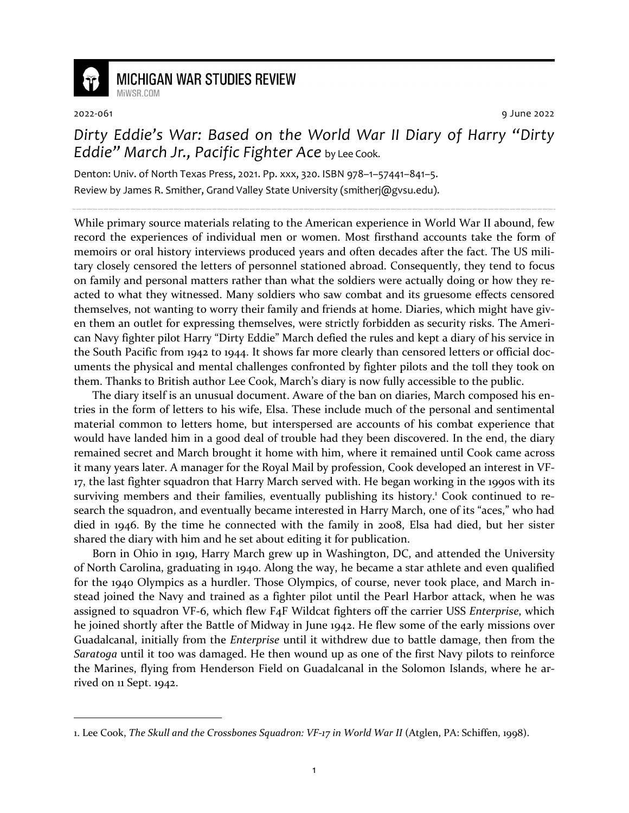

## **MICHIGAN WAR STUDIES REVIEW** MiWSR COM

2022-061 9 June 2022

## *Dirty Eddie's War: Based on the World War II Diary of Harry "Dirty Eddie" March Jr., Pacific Fighter Ace* by Lee Cook.

Denton: Univ. of North Texas Press, 2021. Pp. xxx, 320. ISBN 978–1–57441–841–5. Review by James R. Smither, Grand Valley State University (smitherj@gvsu.edu).

While primary source materials relating to the American experience in World War II abound, few record the experiences of individual men or women. Most firsthand accounts take the form of memoirs or oral history interviews produced years and often decades after the fact. The US military closely censored the letters of personnel stationed abroad. Consequently, they tend to focus on family and personal matters rather than what the soldiers were actually doing or how they reacted to what they witnessed. Many soldiers who saw combat and its gruesome effects censored themselves, not wanting to worry their family and friends at home. Diaries, which might have given them an outlet for expressing themselves, were strictly forbidden as security risks. The American Navy fighter pilot Harry "Dirty Eddie" March defied the rules and kept a diary of his service in the South Pacific from 1942 to 1944. It shows far more clearly than censored letters or official documents the physical and mental challenges confronted by fighter pilots and the toll they took on them. Thanks to British author Lee Cook, March's diary is now fully accessible to the public.

The diary itself is an unusual document. Aware of the ban on diaries, March composed his entries in the form of letters to his wife, Elsa. These include much of the personal and sentimental material common to letters home, but interspersed are accounts of his combat experience that would have landed him in a good deal of trouble had they been discovered. In the end, the diary remained secret and March brought it home with him, where it remained until Cook came across it many years later. A manager for the Royal Mail by profession, Cook developed an interest in VF-17, the last fighter squadron that Harry March served with. He began working in the 1990s with its surviving members and their families, eventually publishing its history.<sup>1</sup> Cook continued to research the squadron, and eventually became interested in Harry March, one of its "aces," who had died in 1946. By the time he connected with the family in 2008, Elsa had died, but her sister shared the diary with him and he set about editing it for publication.

Born in Ohio in 1919, Harry March grew up in Washington, DC, and attended the University of North Carolina, graduating in 1940. Along the way, he became a star athlete and even qualified for the 1940 Olympics as a hurdler. Those Olympics, of course, never took place, and March instead joined the Navy and trained as a fighter pilot until the Pearl Harbor attack, when he was assigned to squadron VF-6, which flew F4F Wildcat fighters off the carrier USS *Enterprise*, which he joined shortly after the Battle of Midway in June 1942. He flew some of the early missions over Guadalcanal, initially from the *Enterprise* until it withdrew due to battle damage, then from the *Saratoga* until it too was damaged. He then wound up as one of the first Navy pilots to reinforce the Marines, flying from Henderson Field on Guadalcanal in the Solomon Islands, where he arrived on 11 Sept. 1942.

<sup>1.</sup> Lee Cook, *The Skull and the Crossbones Squadron: VF-17 in World War II* (Atglen, PA: Schiffen, 1998).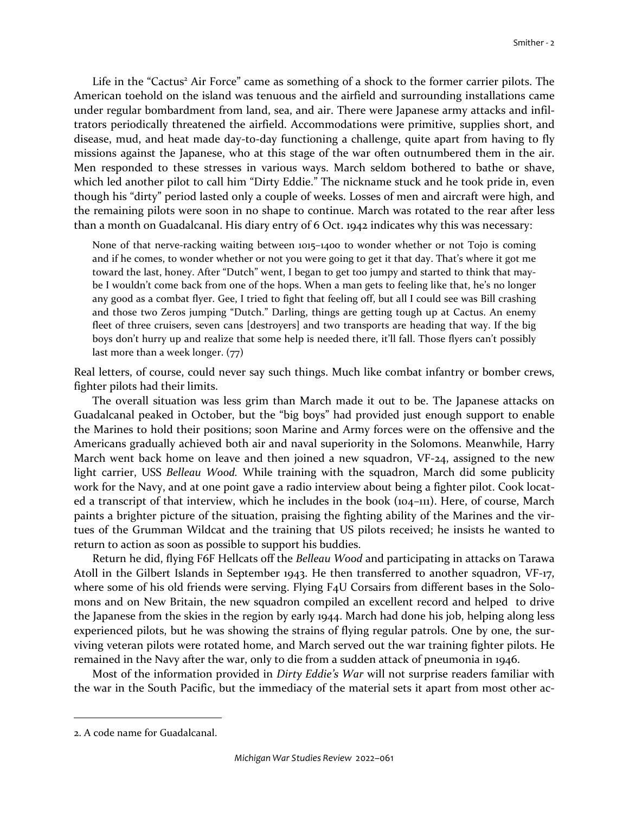Life in the "Cactus<sup>2</sup> Air Force" came as something of a shock to the former carrier pilots. The American toehold on the island was tenuous and the airfield and surrounding installations came under regular bombardment from land, sea, and air. There were Japanese army attacks and infiltrators periodically threatened the airfield. Accommodations were primitive, supplies short, and disease, mud, and heat made day-to-day functioning a challenge, quite apart from having to fly missions against the Japanese, who at this stage of the war often outnumbered them in the air. Men responded to these stresses in various ways. March seldom bothered to bathe or shave, which led another pilot to call him "Dirty Eddie." The nickname stuck and he took pride in, even though his "dirty" period lasted only a couple of weeks. Losses of men and aircraft were high, and the remaining pilots were soon in no shape to continue. March was rotated to the rear after less than a month on Guadalcanal. His diary entry of 6 Oct. 1942 indicates why this was necessary:

None of that nerve-racking waiting between 1015–1400 to wonder whether or not Tojo is coming and if he comes, to wonder whether or not you were going to get it that day. That's where it got me toward the last, honey. After "Dutch" went, I began to get too jumpy and started to think that maybe I wouldn't come back from one of the hops. When a man gets to feeling like that, he's no longer any good as a combat flyer. Gee, I tried to fight that feeling off, but all I could see was Bill crashing and those two Zeros jumping "Dutch." Darling, things are getting tough up at Cactus. An enemy fleet of three cruisers, seven cans [destroyers] and two transports are heading that way. If the big boys don't hurry up and realize that some help is needed there, it'll fall. Those flyers can't possibly last more than a week longer. (77)

Real letters, of course, could never say such things. Much like combat infantry or bomber crews, fighter pilots had their limits.

The overall situation was less grim than March made it out to be. The Japanese attacks on Guadalcanal peaked in October, but the "big boys" had provided just enough support to enable the Marines to hold their positions; soon Marine and Army forces were on the offensive and the Americans gradually achieved both air and naval superiority in the Solomons. Meanwhile, Harry March went back home on leave and then joined a new squadron, VF-24, assigned to the new light carrier, USS *Belleau Wood.* While training with the squadron, March did some publicity work for the Navy, and at one point gave a radio interview about being a fighter pilot. Cook located a transcript of that interview, which he includes in the book (104–111). Here, of course, March paints a brighter picture of the situation, praising the fighting ability of the Marines and the virtues of the Grumman Wildcat and the training that US pilots received; he insists he wanted to return to action as soon as possible to support his buddies.

Return he did, flying F6F Hellcats off the *Belleau Wood* and participating in attacks on Tarawa Atoll in the Gilbert Islands in September 1943. He then transferred to another squadron, VF-17, where some of his old friends were serving. Flying F<sub>4</sub>U Corsairs from different bases in the Solomons and on New Britain, the new squadron compiled an excellent record and helped to drive the Japanese from the skies in the region by early 1944. March had done his job, helping along less experienced pilots, but he was showing the strains of flying regular patrols. One by one, the surviving veteran pilots were rotated home, and March served out the war training fighter pilots. He remained in the Navy after the war, only to die from a sudden attack of pneumonia in 1946.

Most of the information provided in *Dirty Eddie's War* will not surprise readers familiar with the war in the South Pacific, but the immediacy of the material sets it apart from most other ac-

<sup>2.</sup> A code name for Guadalcanal.